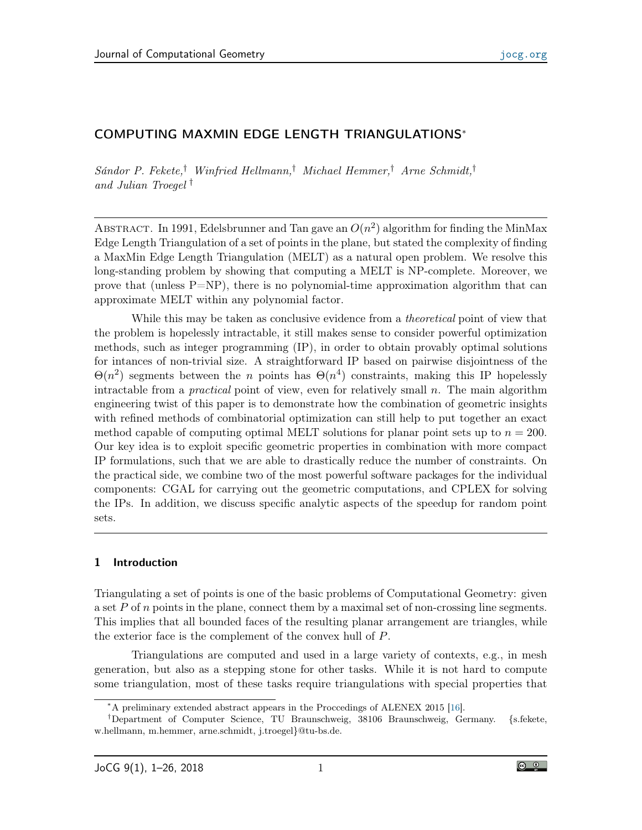# COMPUTING MAXMIN EDGE LENGTH TRIANGULATIONS<sup>∗</sup>

Sándor P. Fekete,† Winfried Hellmann,† Michael Hemmer,† Arne Schmidt,† and Julian Troegel †

ABSTRACT. In 1991, Edelsbrunner and Tan gave an  $O(n^2)$  algorithm for finding the MinMax Edge Length Triangulation of a set of points in the plane, but stated the complexity of finding a MaxMin Edge Length Triangulation (MELT) as a natural open problem. We resolve this long-standing problem by showing that computing a MELT is NP-complete. Moreover, we prove that (unless  $P=NP$ ), there is no polynomial-time approximation algorithm that can approximate MELT within any polynomial factor.

While this may be taken as conclusive evidence from a *theoretical* point of view that the problem is hopelessly intractable, it still makes sense to consider powerful optimization methods, such as integer programming (IP), in order to obtain provably optimal solutions for intances of non-trivial size. A straightforward IP based on pairwise disjointness of the  $\Theta(n^2)$  segments between the n points has  $\Theta(n^4)$  constraints, making this IP hopelessly intractable from a *practical* point of view, even for relatively small  $n$ . The main algorithm engineering twist of this paper is to demonstrate how the combination of geometric insights with refined methods of combinatorial optimization can still help to put together an exact method capable of computing optimal MELT solutions for planar point sets up to  $n = 200$ . Our key idea is to exploit specific geometric properties in combination with more compact IP formulations, such that we are able to drastically reduce the number of constraints. On the practical side, we combine two of the most powerful software packages for the individual components: CGAL for carrying out the geometric computations, and CPLEX for solving the IPs. In addition, we discuss specific analytic aspects of the speedup for random point sets.

## 1 Introduction

Triangulating a set of points is one of the basic problems of Computational Geometry: given a set  $P$  of  $n$  points in the plane, connect them by a maximal set of non-crossing line segments. This implies that all bounded faces of the resulting planar arrangement are triangles, while the exterior face is the complement of the convex hull of P.

Triangulations are computed and used in a large variety of contexts, e.g., in mesh generation, but also as a stepping stone for other tasks. While it is not hard to compute some triangulation, most of these tasks require triangulations with special properties that

<sup>∗</sup>A preliminary extended abstract appears in the Proccedings of ALENEX 2015 [\[16\]](#page-24-0).

<sup>†</sup>Department of Computer Science, TU Braunschweig, 38106 Braunschweig, Germany. {s.fekete, w.hellmann, m.hemmer, arne.schmidt, j.troegel}@tu-bs.de.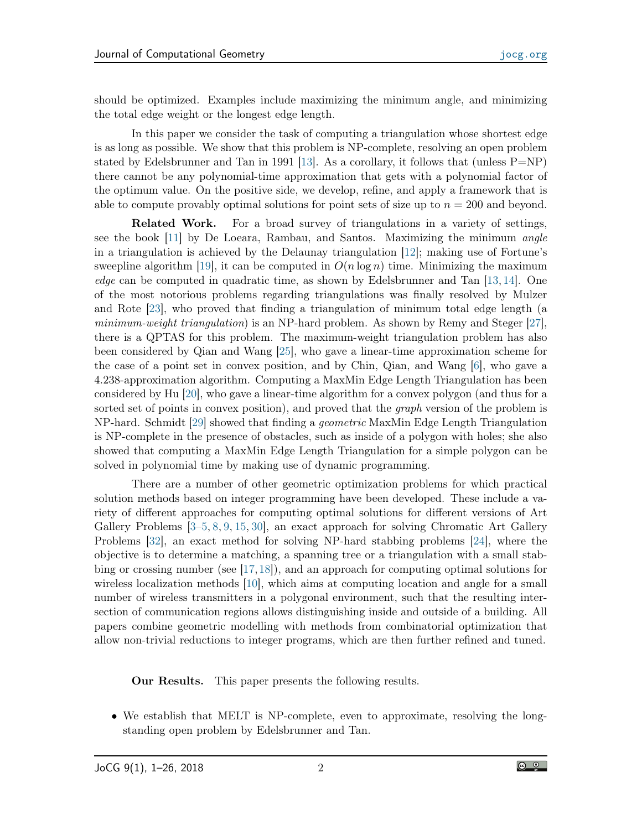should be optimized. Examples include maximizing the minimum angle, and minimizing the total edge weight or the longest edge length.

In this paper we consider the task of computing a triangulation whose shortest edge is as long as possible. We show that this problem is NP-complete, resolving an open problem stated by Edelsbrunner and Tan in 1991 [\[13\]](#page-23-0). As a corollary, it follows that (unless  $P=NP$ ) there cannot be any polynomial-time approximation that gets with a polynomial factor of the optimum value. On the positive side, we develop, refine, and apply a framework that is able to compute provably optimal solutions for point sets of size up to  $n = 200$  and beyond.

Related Work. For a broad survey of triangulations in a variety of settings, see the book [\[11\]](#page-23-1) by De Loeara, Rambau, and Santos. Maximizing the minimum *angle* in a triangulation is achieved by the Delaunay triangulation [\[12\]](#page-23-2); making use of Fortune's sweepline algorithm [\[19\]](#page-24-1), it can be computed in  $O(n \log n)$  time. Minimizing the maximum edge can be computed in quadratic time, as shown by Edelsbrunner and Tan [\[13,](#page-23-0) [14\]](#page-23-3). One of the most notorious problems regarding triangulations was finally resolved by Mulzer and Rote [\[23\]](#page-24-2), who proved that finding a triangulation of minimum total edge length (a minimum-weight triangulation) is an NP-hard problem. As shown by Remy and Steger [\[27\]](#page-24-3), there is a QPTAS for this problem. The maximum-weight triangulation problem has also been considered by Qian and Wang [\[25\]](#page-24-4), who gave a linear-time approximation scheme for the case of a point set in convex position, and by Chin, Qian, and Wang [\[6\]](#page-23-4), who gave a 4.238-approximation algorithm. Computing a MaxMin Edge Length Triangulation has been considered by Hu [\[20\]](#page-24-5), who gave a linear-time algorithm for a convex polygon (and thus for a sorted set of points in convex position), and proved that the *graph* version of the problem is NP-hard. Schmidt [\[29\]](#page-24-6) showed that finding a geometric MaxMin Edge Length Triangulation is NP-complete in the presence of obstacles, such as inside of a polygon with holes; she also showed that computing a MaxMin Edge Length Triangulation for a simple polygon can be solved in polynomial time by making use of dynamic programming.

There are a number of other geometric optimization problems for which practical solution methods based on integer programming have been developed. These include a variety of different approaches for computing optimal solutions for different versions of Art Gallery Problems [\[3](#page-23-5)[–5,](#page-23-6) [8,](#page-23-7) [9,](#page-23-8) [15,](#page-24-7) [30\]](#page-25-0), an exact approach for solving Chromatic Art Gallery Problems [\[32\]](#page-25-1), an exact method for solving NP-hard stabbing problems [\[24\]](#page-24-8), where the objective is to determine a matching, a spanning tree or a triangulation with a small stabbing or crossing number (see [\[17,](#page-24-9)[18\]](#page-24-10)), and an approach for computing optimal solutions for wireless localization methods [\[10\]](#page-23-9), which aims at computing location and angle for a small number of wireless transmitters in a polygonal environment, such that the resulting intersection of communication regions allows distinguishing inside and outside of a building. All papers combine geometric modelling with methods from combinatorial optimization that allow non-trivial reductions to integer programs, which are then further refined and tuned.

Our Results. This paper presents the following results.

• We establish that MELT is NP-complete, even to approximate, resolving the longstanding open problem by Edelsbrunner and Tan.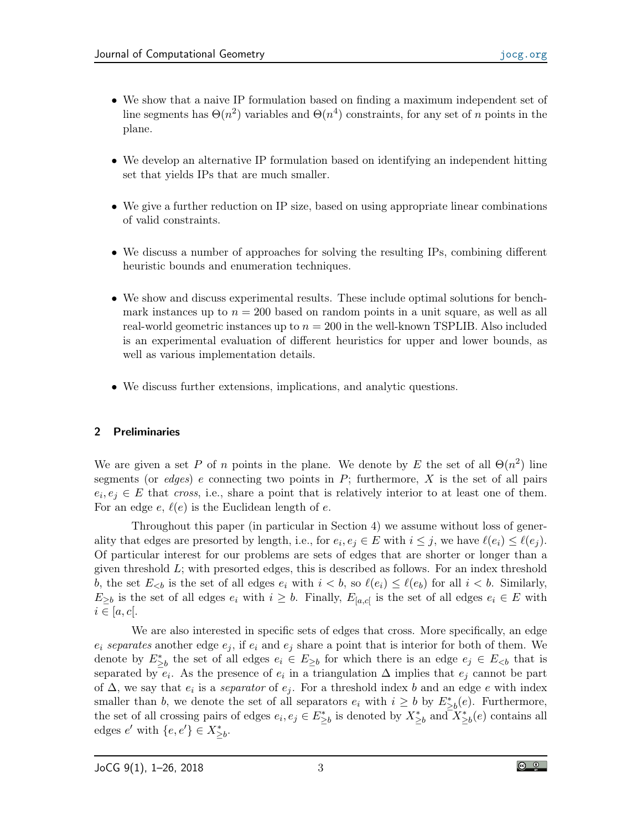- We show that a naive IP formulation based on finding a maximum independent set of line segments has  $\Theta(n^2)$  variables and  $\Theta(n^4)$  constraints, for any set of n points in the plane.
- We develop an alternative IP formulation based on identifying an independent hitting set that yields IPs that are much smaller.
- We give a further reduction on IP size, based on using appropriate linear combinations of valid constraints.
- We discuss a number of approaches for solving the resulting IPs, combining different heuristic bounds and enumeration techniques.
- We show and discuss experimental results. These include optimal solutions for benchmark instances up to  $n = 200$  based on random points in a unit square, as well as all real-world geometric instances up to  $n = 200$  in the well-known TSPLIB. Also included is an experimental evaluation of different heuristics for upper and lower bounds, as well as various implementation details.
- We discuss further extensions, implications, and analytic questions.

## 2 Preliminaries

We are given a set P of n points in the plane. We denote by E the set of all  $\Theta(n^2)$  line segments (or edges) e connecting two points in  $P$ ; furthermore,  $X$  is the set of all pairs  $e_i, e_j \in E$  that cross, i.e., share a point that is relatively interior to at least one of them. For an edge  $e, \ell(e)$  is the Euclidean length of e.

Throughout this paper (in particular in Section 4) we assume without loss of generality that edges are presorted by length, i.e., for  $e_i, e_j \in E$  with  $i \leq j$ , we have  $\ell(e_i) \leq \ell(e_j)$ . Of particular interest for our problems are sets of edges that are shorter or longer than a given threshold L; with presorted edges, this is described as follows. For an index threshold b, the set  $E_{\leq b}$  is the set of all edges  $e_i$  with  $i < b$ , so  $\ell(e_i) \leq \ell(e_b)$  for all  $i < b$ . Similarly,  $E_{\geq b}$  is the set of all edges  $e_i$  with  $i \geq b$ . Finally,  $E_{[a,c]}$  is the set of all edges  $e_i \in E$  with  $i \in [a, c]$ .

We are also interested in specific sets of edges that cross. More specifically, an edge  $e_i$  separates another edge  $e_i$ , if  $e_i$  and  $e_j$  share a point that is interior for both of them. We denote by  $E_{\geq b}^*$  the set of all edges  $e_i \in E_{\geq b}$  for which there is an edge  $e_j \in E_{\leq b}$  that is separated by  $e_i$ . As the presence of  $e_i$  in a triangulation  $\Delta$  implies that  $e_j$  cannot be part of  $\Delta$ , we say that  $e_i$  is a *separator* of  $e_j$ . For a threshold index b and an edge e with index smaller than b, we denote the set of all separators  $e_i$  with  $i \geq b$  by  $E^*_{\geq b}(e)$ . Furthermore, the set of all crossing pairs of edges  $e_i, e_j \in E_{\geq b}^*$  is denoted by  $X_{\geq b}^*$  and  $X_{\geq b}^*(e)$  contains all edges  $e'$  with  $\{e, e'\} \in X^*_{\geq b}$ .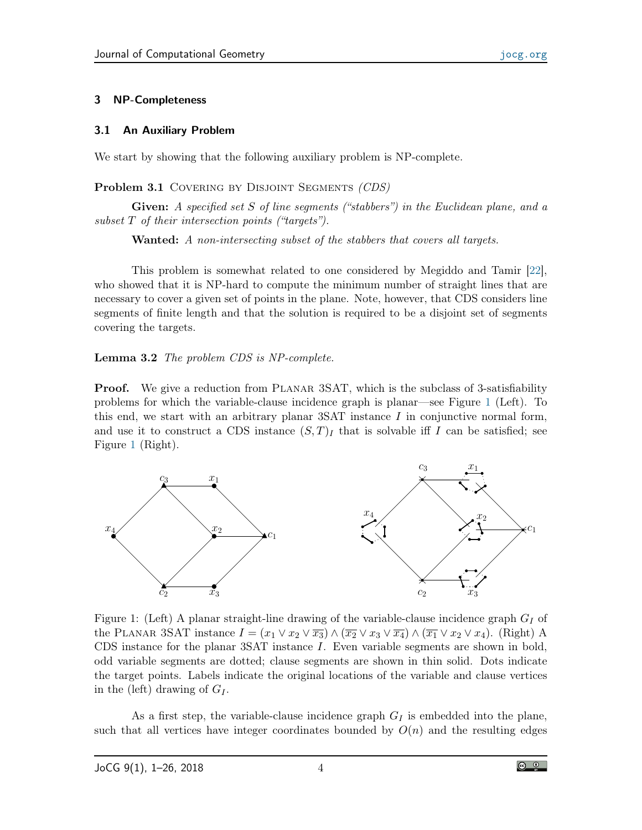### 3 NP-Completeness

### 3.1 An Auxiliary Problem

We start by showing that the following auxiliary problem is NP-complete.

Problem 3.1 COVERING BY DISJOINT SEGMENTS (CDS)

Given: A specified set S of line segments ("stabbers") in the Euclidean plane, and a subset T of their intersection points ("targets").

Wanted: A non-intersecting subset of the stabbers that covers all targets.

This problem is somewhat related to one considered by Megiddo and Tamir [\[22\]](#page-24-11), who showed that it is NP-hard to compute the minimum number of straight lines that are necessary to cover a given set of points in the plane. Note, however, that CDS considers line segments of finite length and that the solution is required to be a disjoint set of segments covering the targets.

<span id="page-3-1"></span>Lemma 3.2 The problem CDS is NP-complete.

**Proof.** We give a reduction from PLANAR 3SAT, which is the subclass of 3-satisfiability problems for which the variable-clause incidence graph is planar—see Figure [1](#page-3-0) (Left). To this end, we start with an arbitrary planar 3SAT instance  $I$  in conjunctive normal form, and use it to construct a CDS instance  $(S,T)_I$  that is solvable iff I can be satisfied; see Figure [1](#page-3-0) (Right).



<span id="page-3-0"></span>Figure 1: (Left) A planar straight-line drawing of the variable-clause incidence graph  $G_I$  of the PLANAR 3SAT instance  $I = (x_1 \vee x_2 \vee \overline{x_3}) \wedge (\overline{x_2} \vee x_3 \vee \overline{x_4}) \wedge (\overline{x_1} \vee x_2 \vee x_4)$ . (Right) A CDS instance for the planar 3SAT instance I. Even variable segments are shown in bold, odd variable segments are dotted; clause segments are shown in thin solid. Dots indicate the target points. Labels indicate the original locations of the variable and clause vertices in the (left) drawing of  $G_I$ .

As a first step, the variable-clause incidence graph  $G_I$  is embedded into the plane, such that all vertices have integer coordinates bounded by  $O(n)$  and the resulting edges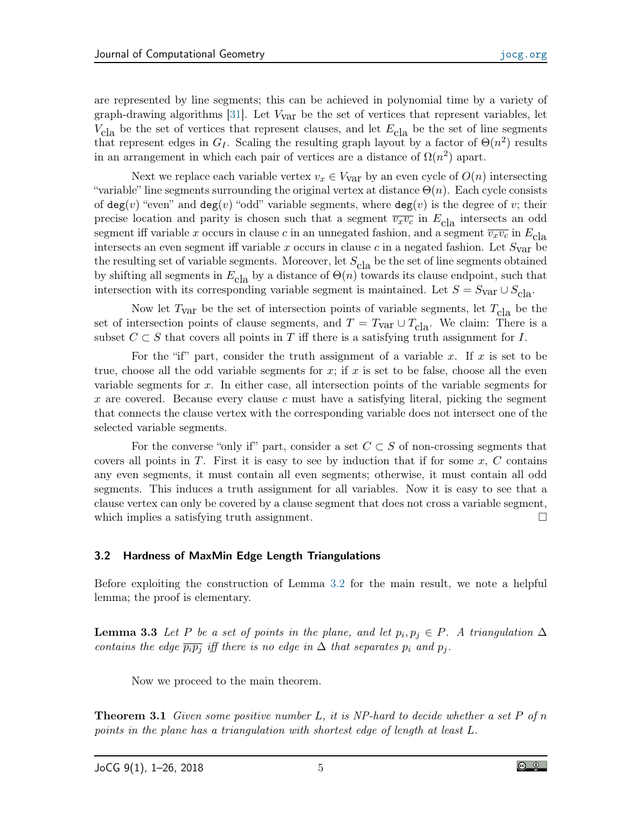are represented by line segments; this can be achieved in polynomial time by a variety of graph-drawing algorithms  $[31]$ . Let  $V_{\text{var}}$  be the set of vertices that represent variables, let  $V_{\text{cla}}$  be the set of vertices that represent clauses, and let  $E_{\text{cla}}$  be the set of line segments that represent edges in  $G_I$ . Scaling the resulting graph layout by a factor of  $\Theta(n^2)$  results in an arrangement in which each pair of vertices are a distance of  $\Omega(n^2)$  apart.

Next we replace each variable vertex  $v_x \in V_{\text{var}}$  by an even cycle of  $O(n)$  intersecting "variable" line segments surrounding the original vertex at distance  $\Theta(n)$ . Each cycle consists of  $deg(v)$  "even" and  $deg(v)$  "odd" variable segments, where  $deg(v)$  is the degree of v; their precise location and parity is chosen such that a segment  $\overline{v_xv_c}$  in  $E_{\text{cla}}$  intersects an odd segment iff variable x occurs in clause c in an unnegated fashion, and a segment  $\overline{v_xv_c}$  in  $E_{c|a}$ intersects an even segment iff variable x occurs in clause c in a negated fashion. Let  $S_{\text{var}}$  be the resulting set of variable segments. Moreover, let  $S_{\text{cla}}$  be the set of line segments obtained by shifting all segments in  $E_{\text{cla}}$  by a distance of  $\Theta(n)$  towards its clause endpoint, such that intersection with its corresponding variable segment is maintained. Let  $S = S_{\text{Var}} \cup S_{c|a}$ .

Now let  $T_{\text{var}}$  be the set of intersection points of variable segments, let  $T_{\text{cla}}$  be the set of intersection points of clause segments, and  $T = T_{\text{var}} \cup T_{\text{cla}}$ . We claim: There is a subset  $C \subset S$  that covers all points in T iff there is a satisfying truth assignment for I.

For the "if" part, consider the truth assignment of a variable x. If x is set to be true, choose all the odd variable segments for  $x$ ; if  $x$  is set to be false, choose all the even variable segments for x. In either case, all intersection points of the variable segments for x are covered. Because every clause c must have a satisfying literal, picking the segment that connects the clause vertex with the corresponding variable does not intersect one of the selected variable segments.

For the converse "only if" part, consider a set  $C \subset S$  of non-crossing segments that covers all points in  $T$ . First it is easy to see by induction that if for some  $x, C$  contains any even segments, it must contain all even segments; otherwise, it must contain all odd segments. This induces a truth assignment for all variables. Now it is easy to see that a clause vertex can only be covered by a clause segment that does not cross a variable segment, which implies a satisfying truth assignment.

#### 3.2 Hardness of MaxMin Edge Length Triangulations

Before exploiting the construction of Lemma [3.2](#page-3-1) for the main result, we note a helpful lemma; the proof is elementary.

<span id="page-4-0"></span>**Lemma 3.3** Let P be a set of points in the plane, and let  $p_i, p_j \in P$ . A triangulation  $\Delta$ contains the edge  $\overline{p_i p_j}$  iff there is no edge in  $\Delta$  that separates  $p_i$  and  $p_j$ .

Now we proceed to the main theorem.

<span id="page-4-1"></span>**Theorem 3.1** Given some positive number L, it is NP-hard to decide whether a set P of n points in the plane has a triangulation with shortest edge of length at least L.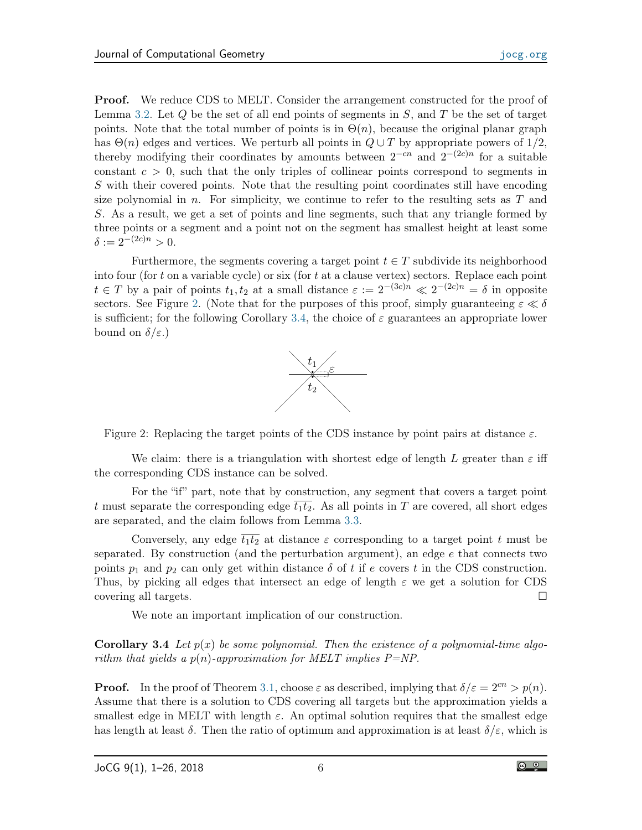Proof. We reduce CDS to MELT. Consider the arrangement constructed for the proof of Lemma [3.2.](#page-3-1) Let  $Q$  be the set of all end points of segments in  $S$ , and  $T$  be the set of target points. Note that the total number of points is in  $\Theta(n)$ , because the original planar graph has  $\Theta(n)$  edges and vertices. We perturb all points in  $Q \cup T$  by appropriate powers of  $1/2$ , thereby modifying their coordinates by amounts between  $2^{-cn}$  and  $2^{-(2c)n}$  for a suitable constant  $c > 0$ , such that the only triples of collinear points correspond to segments in S with their covered points. Note that the resulting point coordinates still have encoding size polynomial in n. For simplicity, we continue to refer to the resulting sets as  $T$  and S. As a result, we get a set of points and line segments, such that any triangle formed by three points or a segment and a point not on the segment has smallest height at least some  $\delta := 2^{-(2c)n} > 0.$ 

Furthermore, the segments covering a target point  $t \in T$  subdivide its neighborhood into four (for t on a variable cycle) or six (for t at a clause vertex) sectors. Replace each point  $t \in T$  by a pair of points  $t_1, t_2$  at a small distance  $\varepsilon := 2^{-(3c)n} \ll 2^{-(2c)n} = \delta$  in opposite sectors. See Figure [2.](#page-5-0) (Note that for the purposes of this proof, simply guaranteeing  $\varepsilon \ll \delta$ is sufficient; for the following Corollary [3.4,](#page-5-1) the choice of  $\varepsilon$  guarantees an appropriate lower bound on  $\delta/\varepsilon$ .)



<span id="page-5-0"></span>Figure 2: Replacing the target points of the CDS instance by point pairs at distance  $\varepsilon$ .

We claim: there is a triangulation with shortest edge of length L greater than  $\varepsilon$  iff the corresponding CDS instance can be solved.

For the "if" part, note that by construction, any segment that covers a target point t must separate the corresponding edge  $\overline{t_1t_2}$ . As all points in T are covered, all short edges are separated, and the claim follows from Lemma [3.3.](#page-4-0)

Conversely, any edge  $\overline{t_1t_2}$  at distance  $\varepsilon$  corresponding to a target point t must be separated. By construction (and the perturbation argument), an edge e that connects two points  $p_1$  and  $p_2$  can only get within distance  $\delta$  of t if e covers t in the CDS construction. Thus, by picking all edges that intersect an edge of length  $\varepsilon$  we get a solution for CDS covering all targets.

We note an important implication of our construction.

<span id="page-5-1"></span>**Corollary 3.4** Let  $p(x)$  be some polynomial. Then the existence of a polynomial-time algorithm that yields a  $p(n)$ -approximation for MELT implies  $P=NP$ .

**Proof.** In the proof of Theorem [3.1,](#page-4-1) choose  $\varepsilon$  as described, implying that  $\delta/\varepsilon = 2^{cn} > p(n)$ . Assume that there is a solution to CDS covering all targets but the approximation yields a smallest edge in MELT with length  $\varepsilon$ . An optimal solution requires that the smallest edge has length at least  $\delta$ . Then the ratio of optimum and approximation is at least  $\delta/\varepsilon$ , which is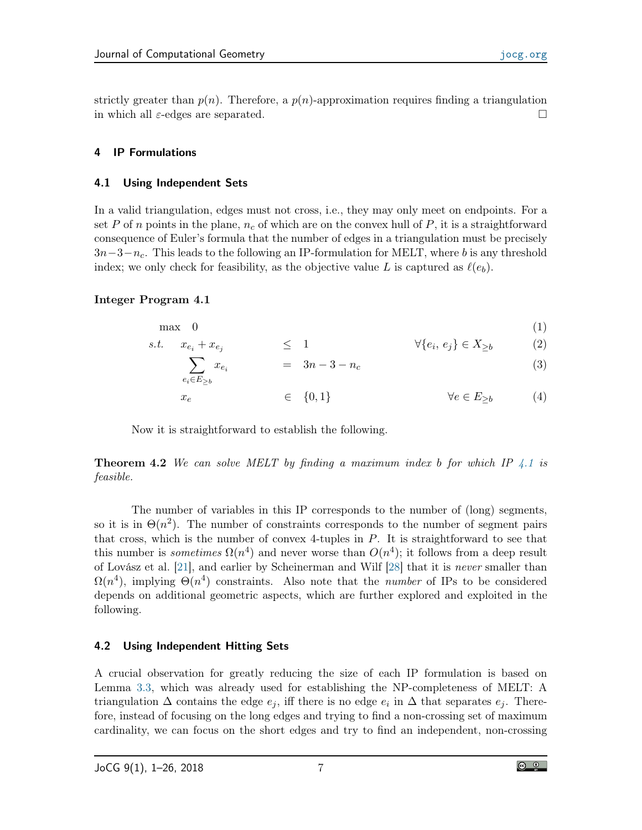strictly greater than  $p(n)$ . Therefore, a  $p(n)$ -approximation requires finding a triangulation in which all  $\varepsilon$ -edges are separated.

## 4 IP Formulations

## 4.1 Using Independent Sets

In a valid triangulation, edges must not cross, i.e., they may only meet on endpoints. For a set P of n points in the plane,  $n_c$  of which are on the convex hull of P, it is a straightforward consequence of Euler's formula that the number of edges in a triangulation must be precisely  $3n-3-n_c$ . This leads to the following an IP-formulation for MELT, where b is any threshold index; we only check for feasibility, as the objective value L is captured as  $\ell(e_b)$ .

## <span id="page-6-0"></span>Integer Program 4.1

$$
\begin{array}{rcl}\n\max & 0 & (1) \\
s.t. & x_{e_i} + x_{e_j} \leq 1 & \forall \{e_i, e_j\} \in X_{\geq b} & (2)\n\end{array}
$$

$$
\sum_{e_i \in E_{>b}} x_{e_i} = 3n - 3 - n_c \tag{3}
$$

$$
x_e \qquad \qquad \in \quad \{0,1\} \qquad \qquad \forall e \in E_{\geq b} \tag{4}
$$

Now it is straightforward to establish the following.

**Theorem 4.2** We can solve MELT by finding a maximum index b for which IP  $\ddot{ }$ .1 is feasible.

The number of variables in this IP corresponds to the number of (long) segments, so it is in  $\Theta(n^2)$ . The number of constraints corresponds to the number of segment pairs that cross, which is the number of convex 4-tuples in  $P$ . It is straightforward to see that this number is *sometimes*  $\Omega(n^4)$  and never worse than  $O(n^4)$ ; it follows from a deep result of Lovász et al. [\[21\]](#page-24-12), and earlier by Scheinerman and Wilf [\[28\]](#page-24-13) that it is never smaller than  $\Omega(n^4)$ , implying  $\Theta(n^4)$  constraints. Also note that the *number* of IPs to be considered depends on additional geometric aspects, which are further explored and exploited in the following.

## 4.2 Using Independent Hitting Sets

A crucial observation for greatly reducing the size of each IP formulation is based on Lemma [3.3,](#page-4-0) which was already used for establishing the NP-completeness of MELT: A triangulation  $\Delta$  contains the edge  $e_j$ , iff there is no edge  $e_i$  in  $\Delta$  that separates  $e_j$ . Therefore, instead of focusing on the long edges and trying to find a non-crossing set of maximum cardinality, we can focus on the short edges and try to find an independent, non-crossing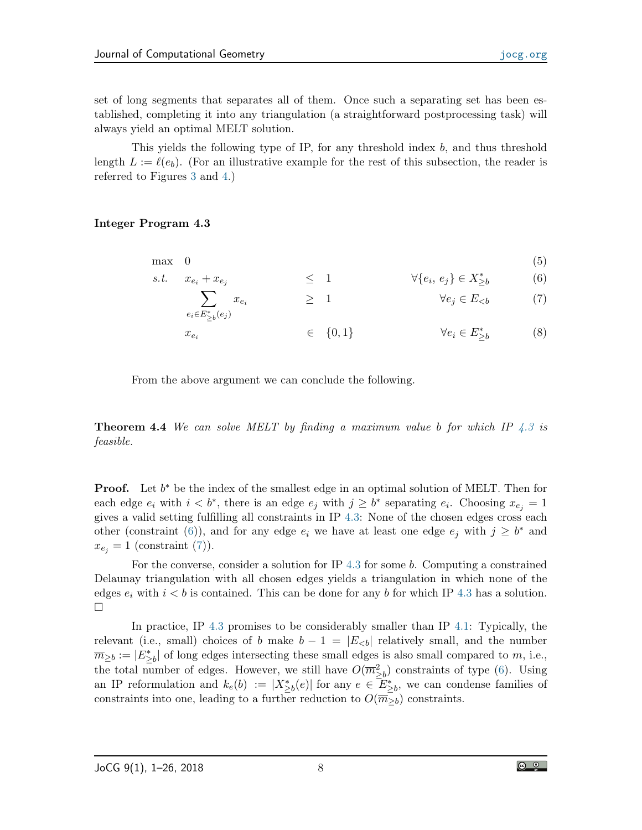set of long segments that separates all of them. Once such a separating set has been established, completing it into any triangulation (a straightforward postprocessing task) will always yield an optimal MELT solution.

This yields the following type of IP, for any threshold index b, and thus threshold length  $L := \ell(e_b)$ . (For an illustrative example for the rest of this subsection, the reader is referred to Figures [3](#page-9-0) and [4.](#page-10-0))

### <span id="page-7-0"></span>Integer Program 4.3

$$
\max \quad 0 \tag{5}
$$

s.t. 
$$
x_{e_i} + x_{e_j}
$$
  $\leq 1$   $\forall \{e_i, e_j\} \in X_{\geq b}^*$  (6)  
 $\sum x_{e_i}$   $\geq 1$   $\forall e_j \in E_{\leq b}$  (7)

<span id="page-7-2"></span><span id="page-7-1"></span>
$$
e_i \in \overline{E_{\geq b}^*}(e_j)
$$
\n
$$
x_{e_i} \in \{0, 1\}
$$
\n
$$
\forall e_i \in E_{\geq b}^* \tag{8}
$$

From the above argument we can conclude the following.

**Theorem 4.4** We can solve MELT by finding a maximum value b for which IP  $\ddot{4}$ . 3 is feasible.

**Proof.** Let  $b^*$  be the index of the smallest edge in an optimal solution of MELT. Then for each edge  $e_i$  with  $i < b^*$ , there is an edge  $e_j$  with  $j \geq b^*$  separating  $e_i$ . Choosing  $x_{e_j} = 1$ gives a valid setting fulfilling all constraints in IP [4.3:](#page-7-0) None of the chosen edges cross each other (constraint [\(6\)](#page-7-1)), and for any edge  $e_i$  we have at least one edge  $e_j$  with  $j \geq b^*$  and  $x_{e_j} = 1$  (constraint [\(7\)](#page-7-2)).

For the converse, consider a solution for IP  $4.3$  for some b. Computing a constrained Delaunay triangulation with all chosen edges yields a triangulation in which none of the edges  $e_i$  with  $i < b$  is contained. This can be done for any b for which IP [4.3](#page-7-0) has a solution.  $\Box$ 

<span id="page-7-3"></span>In practice, IP [4.3](#page-7-0) promises to be considerably smaller than IP [4.1:](#page-6-0) Typically, the relevant (i.e., small) choices of b make  $b - 1 = |E_{< b}|$  relatively small, and the number  $\overline{m}_{\geq b} := |E^*_{\geq b}|$  of long edges intersecting these small edges is also small compared to m, i.e., the total number of edges. However, we still have  $O(m_{\geq b}^2)$  constraints of type [\(6\)](#page-7-1). Using an IP reformulation and  $k_e(b) := |X^*_{\geq b}(e)|$  for any  $e \in \mathbb{Z}^*_{\geq b}$ , we can condense families of constraints into one, leading to a further reduction to  $O(\overline{m}_{>b})$  constraints.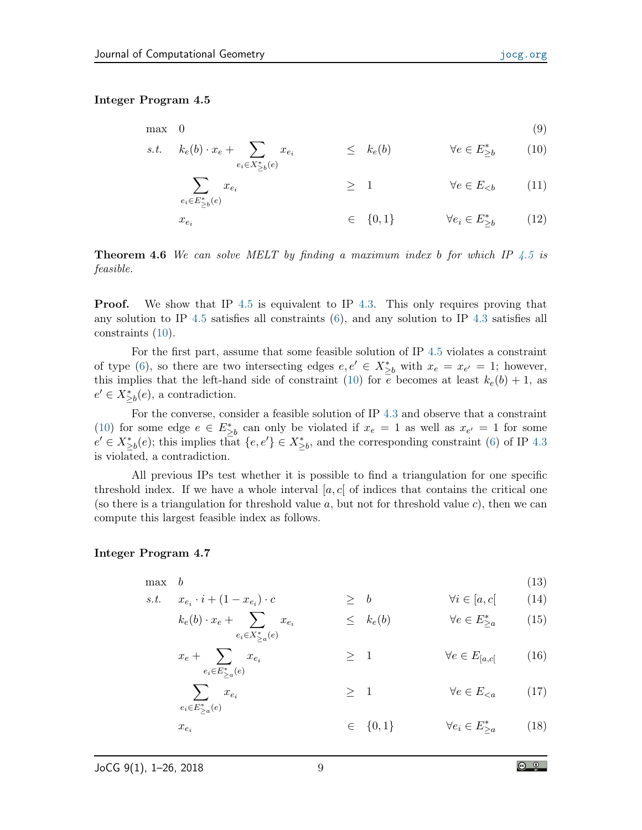#### Integer Program 4.5

$$
\begin{array}{ll}\n\max & 0 & (9) \\
s.t. & k_e(b) \cdot x_e + \sum_{e_i \in X_{\geq b}^*(e)} x_{e_i} & \leq k_e(b) & \forall e \in E_{\geq b}^* \\
\end{array}
$$
\n
$$
(9)
$$

<span id="page-8-0"></span>
$$
\sum_{e_i \in E_{\geq b}^*(e)} x_{e_i} \qquad \qquad \geq 1 \qquad \qquad \forall e \in E_{< b} \qquad (11)
$$

$$
x_{e_i} \qquad \qquad \in \quad \{0,1\} \qquad \qquad \forall e_i \in E^*_{\geq b} \qquad \qquad (12)
$$

<span id="page-8-3"></span>**Theorem 4.6** We can solve MELT by finding a maximum index b for which IP  $\ddot{4.5}$  $\ddot{4.5}$  $\ddot{4.5}$  is feasible.

**Proof.** We show that IP [4.5](#page-7-3) is equivalent to IP [4.3.](#page-7-0) This only requires proving that any solution to IP [4.5](#page-7-3) satisfies all constraints [\(6\)](#page-7-1), and any solution to IP [4.3](#page-7-0) satisfies all constraints [\(10\)](#page-8-0).

For the first part, assume that some feasible solution of IP [4.5](#page-7-3) violates a constraint of type [\(6\)](#page-7-1), so there are two intersecting edges  $e, e' \in X_{\geq b}^*$  with  $x_e = x_{e'} = 1$ ; however, this implies that the left-hand side of constraint [\(10\)](#page-8-0) for e becomes at least  $k_e(b) + 1$ , as  $e' \in X_{\geq b}^*(e)$ , a contradiction.

For the converse, consider a feasible solution of IP [4.3](#page-7-0) and observe that a constraint [\(10\)](#page-8-0) for some edge  $e \in E^*_{\geq b}$  can only be violated if  $x_e = 1$  as well as  $x_{e'} = 1$  for some  $e' \in X_{\geq b}^*(e)$ ; this implies that  $\{e, e'\} \in X_{\geq b}^*$ , and the corresponding constraint [\(6\)](#page-7-1) of IP [4.3](#page-7-0) is violated, a contradiction.

All previous IPs test whether it is possible to find a triangulation for one specific threshold index. If we have a whole interval  $[a, c]$  of indices that contains the critical one (so there is a triangulation for threshold value  $a$ , but not for threshold value  $c$ ), then we can compute this largest feasible index as follows.

#### <span id="page-8-4"></span>Integer Program 4.7

 $\max$  b (13)  $\cdot$  i + (1  $\cdot$  xeii)

s.t. 
$$
x_{e_i} \cdot i + (1 - x_{e_i}) \cdot c \geq b
$$
  $\forall i \in [a, c]$  (14)  
\n $k_e(b) \cdot x_e + \sum x_{e_i} \leq k_e(b)$   $\forall e \in E_{\geq a}^*$  (15)

$$
x_e + \sum_{e_i \in X_{\geq a}^*(e)}^{e_i \in X_{\geq a}^*(e)} \geq 1 \qquad \forall e \in E_{[a,c]} \qquad (16)
$$

<span id="page-8-2"></span><span id="page-8-1"></span>
$$
\sum_{e_i \in E_{\geq a}^*(e)}^{e_i \in E_{\geq a}^*(e)} x_{e_i} \qquad \geq 1 \qquad \forall e \in E_{\leq a} \qquad (17)
$$

 $x_{e_i} \in \{0,1\}$ ∗ ≥a (18)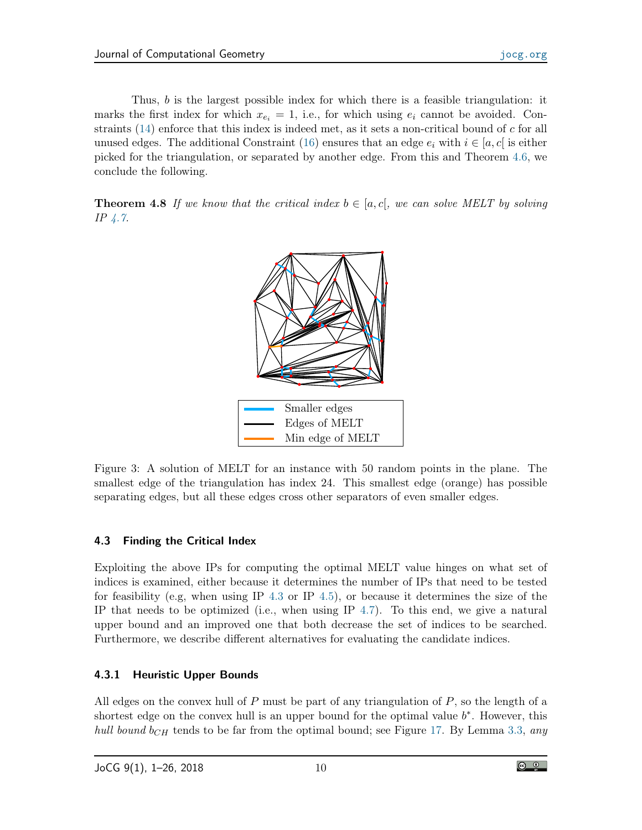Thus, b is the largest possible index for which there is a feasible triangulation: it marks the first index for which  $x_{e_i} = 1$ , i.e., for which using  $e_i$  cannot be avoided. Constraints  $(14)$  enforce that this index is indeed met, as it sets a non-critical bound of c for all unused edges. The additional Constraint [\(16\)](#page-8-2) ensures that an edge  $e_i$  with  $i \in [a, c]$  is either picked for the triangulation, or separated by another edge. From this and Theorem [4.6,](#page-8-3) we conclude the following.

**Theorem 4.8** If we know that the critical index  $b \in [a, c]$ , we can solve MELT by solving IP [4.7.](#page-8-4)



<span id="page-9-0"></span>Figure 3: A solution of MELT for an instance with 50 random points in the plane. The smallest edge of the triangulation has index 24. This smallest edge (orange) has possible separating edges, but all these edges cross other separators of even smaller edges.

## 4.3 Finding the Critical Index

Exploiting the above IPs for computing the optimal MELT value hinges on what set of indices is examined, either because it determines the number of IPs that need to be tested for feasibility (e.g, when using IP [4.3](#page-7-0) or IP [4.5\)](#page-7-3), or because it determines the size of the IP that needs to be optimized (i.e., when using IP  $4.7$ ). To this end, we give a natural upper bound and an improved one that both decrease the set of indices to be searched. Furthermore, we describe different alternatives for evaluating the candidate indices.

## 4.3.1 Heuristic Upper Bounds

All edges on the convex hull of  $P$  must be part of any triangulation of  $P$ , so the length of a shortest edge on the convex hull is an upper bound for the optimal value  $b^*$ . However, this *hull bound b<sub>CH</sub>* tends to be far from the optimal bound; see Figure [17.](#page-21-0) By Lemma [3.3,](#page-4-0) any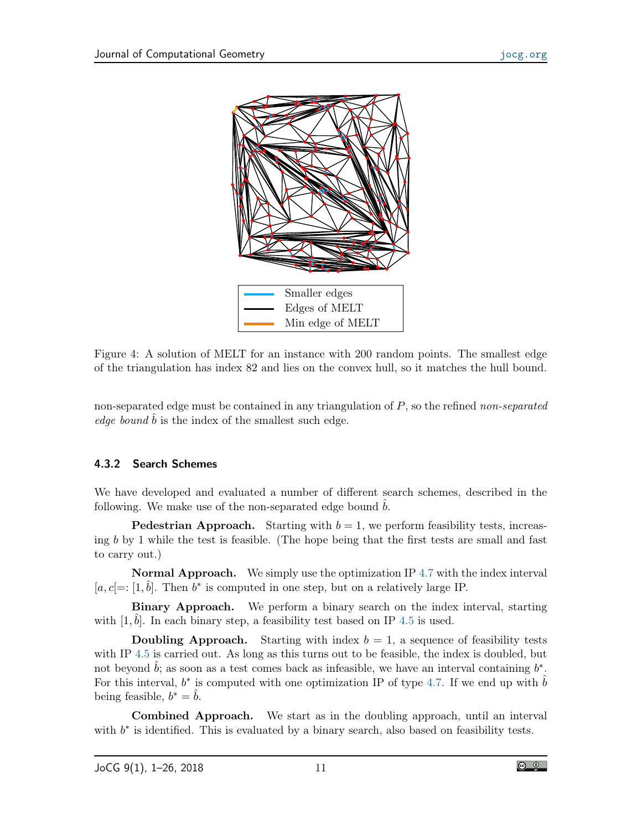

<span id="page-10-0"></span>Figure 4: A solution of MELT for an instance with 200 random points. The smallest edge of the triangulation has index 82 and lies on the convex hull, so it matches the hull bound.

non-separated edge must be contained in any triangulation of  $P$ , so the refined non-separated edge bound  $b$  is the index of the smallest such edge.

## 4.3.2 Search Schemes

We have developed and evaluated a number of different search schemes, described in the following. We make use of the non-separated edge bound  $\hat{b}$ .

**Pedestrian Approach.** Starting with  $b = 1$ , we perform feasibility tests, increasing b by 1 while the test is feasible. (The hope being that the first tests are small and fast to carry out.)

Normal Approach. We simply use the optimization IP [4.7](#page-8-4) with the index interval [ $a, c$ ] =: [1,  $\hat{b}$ ]. Then  $b^*$  is computed in one step, but on a relatively large IP.

Binary Approach. We perform a binary search on the index interval, starting with  $[1, \hat{b}]$ . In each binary step, a feasibility test based on IP [4.5](#page-7-3) is used.

**Doubling Approach.** Starting with index  $b = 1$ , a sequence of feasibility tests with IP [4.5](#page-7-3) is carried out. As long as this turns out to be feasible, the index is doubled, but not beyond  $\hat{b}$ ; as soon as a test comes back as infeasible, we have an interval containing  $b^*$ . For this interval,  $b^*$  is computed with one optimization IP of type [4.7.](#page-8-4) If we end up with  $\hat{b}$ being feasible,  $b^* = \hat{b}$ .

Combined Approach. We start as in the doubling approach, until an interval with  $b^*$  is identified. This is evaluated by a binary search, also based on feasibility tests.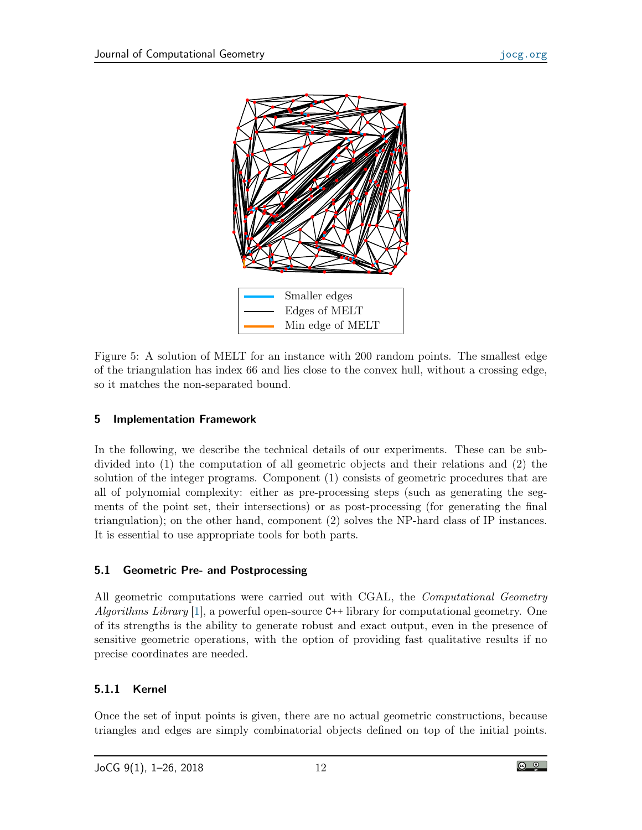

Figure 5: A solution of MELT for an instance with 200 random points. The smallest edge of the triangulation has index 66 and lies close to the convex hull, without a crossing edge, so it matches the non-separated bound.

## 5 Implementation Framework

In the following, we describe the technical details of our experiments. These can be subdivided into (1) the computation of all geometric objects and their relations and (2) the solution of the integer programs. Component (1) consists of geometric procedures that are all of polynomial complexity: either as pre-processing steps (such as generating the segments of the point set, their intersections) or as post-processing (for generating the final triangulation); on the other hand, component (2) solves the NP-hard class of IP instances. It is essential to use appropriate tools for both parts.

## 5.1 Geometric Pre- and Postprocessing

All geometric computations were carried out with CGAL, the *Computational Geometry* Algorithms Library  $[1]$ , a powerful open-source C++ library for computational geometry. One of its strengths is the ability to generate robust and exact output, even in the presence of sensitive geometric operations, with the option of providing fast qualitative results if no precise coordinates are needed.

# 5.1.1 Kernel

Once the set of input points is given, there are no actual geometric constructions, because triangles and edges are simply combinatorial objects defined on top of the initial points.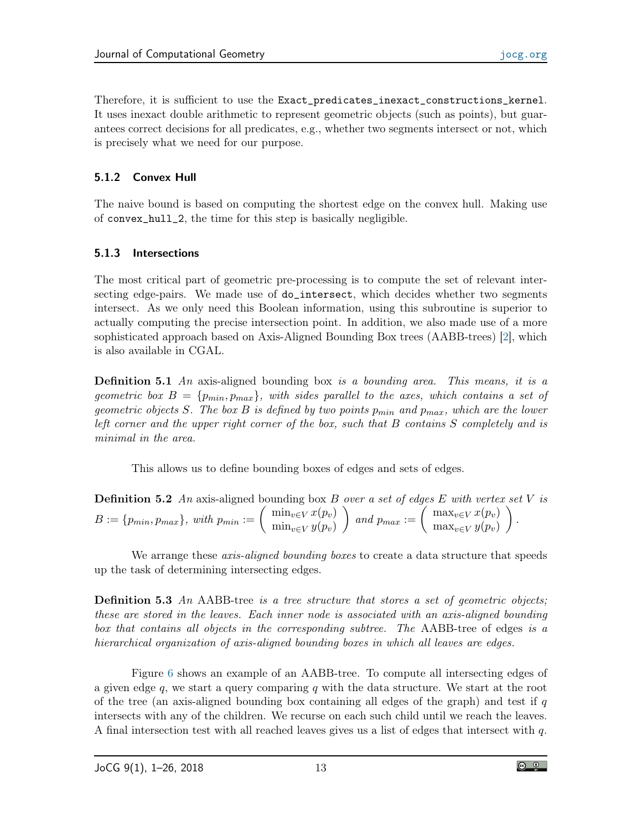Therefore, it is sufficient to use the Exact\_predicates\_inexact\_constructions\_kernel. It uses inexact double arithmetic to represent geometric objects (such as points), but guarantees correct decisions for all predicates, e.g., whether two segments intersect or not, which is precisely what we need for our purpose.

## 5.1.2 Convex Hull

The naive bound is based on computing the shortest edge on the convex hull. Making use of convex\_hull\_2, the time for this step is basically negligible.

## 5.1.3 Intersections

The most critical part of geometric pre-processing is to compute the set of relevant intersecting edge-pairs. We made use of do\_intersect, which decides whether two segments intersect. As we only need this Boolean information, using this subroutine is superior to actually computing the precise intersection point. In addition, we also made use of a more sophisticated approach based on Axis-Aligned Bounding Box trees (AABB-trees) [\[2\]](#page-23-11), which is also available in CGAL.

**Definition 5.1** An axis-aligned bounding box is a bounding area. This means, it is a geometric box  $B = \{p_{min}, p_{max}\}\$ , with sides parallel to the axes, which contains a set of geometric objects S. The box B is defined by two points  $p_{min}$  and  $p_{max}$ , which are the lower left corner and the upper right corner of the box, such that B contains S completely and is minimal in the area.

This allows us to define bounding boxes of edges and sets of edges.

| <b>Definition 5.2</b> An axis-aligned bounding box B over a set of edges E with vertex set V is                                                                                                                                                            |  |
|------------------------------------------------------------------------------------------------------------------------------------------------------------------------------------------------------------------------------------------------------------|--|
| $B := \{p_{min}, p_{max}\}, \ with \ p_{min} := \left( \begin{array}{c} \min_{v \in V} x(p_v) \\ \min_{v \in V} y(p_v) \end{array} \right) \ and \ p_{max} := \left( \begin{array}{c} \max_{v \in V} x(p_v) \\ \max_{v \in V} y(p_v) \end{array} \right).$ |  |

We arrange these *axis-aligned bounding boxes* to create a data structure that speeds up the task of determining intersecting edges.

**Definition 5.3** An AABB-tree is a tree structure that stores a set of geometric objects; these are stored in the leaves. Each inner node is associated with an axis-aligned bounding box that contains all objects in the corresponding subtree. The AABB-tree of edges is a hierarchical organization of axis-aligned bounding boxes in which all leaves are edges.

Figure [6](#page-13-0) shows an example of an AABB-tree. To compute all intersecting edges of a given edge q, we start a query comparing q with the data structure. We start at the root of the tree (an axis-aligned bounding box containing all edges of the graph) and test if  $q$ intersects with any of the children. We recurse on each such child until we reach the leaves. A final intersection test with all reached leaves gives us a list of edges that intersect with q.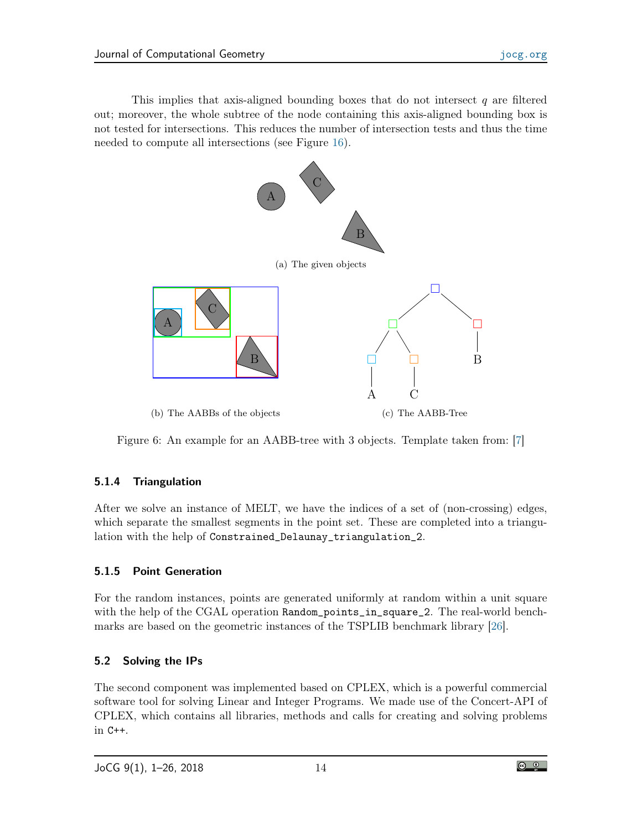This implies that axis-aligned bounding boxes that do not intersect  $q$  are filtered out; moreover, the whole subtree of the node containing this axis-aligned bounding box is not tested for intersections. This reduces the number of intersection tests and thus the time needed to compute all intersections (see Figure [16\)](#page-20-0).



<span id="page-13-0"></span>Figure 6: An example for an AABB-tree with 3 objects. Template taken from: [\[7\]](#page-23-12)

## 5.1.4 Triangulation

After we solve an instance of MELT, we have the indices of a set of (non-crossing) edges, which separate the smallest segments in the point set. These are completed into a triangulation with the help of Constrained\_Delaunay\_triangulation\_2.

## 5.1.5 Point Generation

For the random instances, points are generated uniformly at random within a unit square with the help of the CGAL operation Random\_points\_in\_square\_2. The real-world benchmarks are based on the geometric instances of the TSPLIB benchmark library [\[26\]](#page-24-14).

# 5.2 Solving the IPs

The second component was implemented based on CPLEX, which is a powerful commercial software tool for solving Linear and Integer Programs. We made use of the Concert-API of CPLEX, which contains all libraries, methods and calls for creating and solving problems in C++.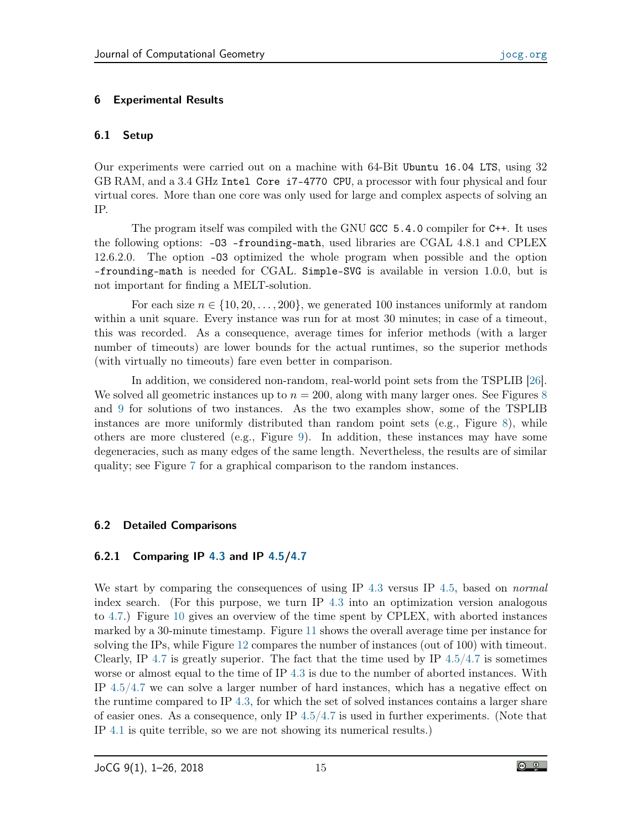## 6 Experimental Results

## 6.1 Setup

Our experiments were carried out on a machine with 64-Bit Ubuntu 16.04 LTS, using 32 GB RAM, and a 3.4 GHz Intel Core i7-4770 CPU, a processor with four physical and four virtual cores. More than one core was only used for large and complex aspects of solving an IP.

The program itself was compiled with the GNU GCC 5.4.0 compiler for C++. It uses the following options: -O3 -frounding-math, used libraries are CGAL 4.8.1 and CPLEX 12.6.2.0. The option -O3 optimized the whole program when possible and the option -frounding-math is needed for CGAL. Simple-SVG is available in version 1.0.0, but is not important for finding a MELT-solution.

For each size  $n \in \{10, 20, \ldots, 200\}$ , we generated 100 instances uniformly at random within a unit square. Every instance was run for at most 30 minutes; in case of a timeout, this was recorded. As a consequence, average times for inferior methods (with a larger number of timeouts) are lower bounds for the actual runtimes, so the superior methods (with virtually no timeouts) fare even better in comparison.

In addition, we considered non-random, real-world point sets from the TSPLIB [\[26\]](#page-24-14). We solved all geometric instances up to  $n = 200$ , along with many larger ones. See Figures [8](#page-15-0) and [9](#page-16-0) for solutions of two instances. As the two examples show, some of the TSPLIB instances are more uniformly distributed than random point sets (e.g., Figure [8\)](#page-15-0), while others are more clustered (e.g., Figure [9\)](#page-16-0). In addition, these instances may have some degeneracies, such as many edges of the same length. Nevertheless, the results are of similar quality; see Figure [7](#page-15-1) for a graphical comparison to the random instances.

## 6.2 Detailed Comparisons

## 6.2.1 Comparing IP [4.3](#page-7-0) and IP [4.5](#page-7-3)[/4.7](#page-8-4)

We start by comparing the consequences of using IP [4.3](#page-7-0) versus IP [4.5,](#page-7-3) based on *normal* index search. (For this purpose, we turn IP [4.3](#page-7-0) into an optimization version analogous to [4.7.](#page-8-4)) Figure [10](#page-17-0) gives an overview of the time spent by CPLEX, with aborted instances marked by a 30-minute timestamp. Figure [11](#page-18-0) shows the overall average time per instance for solving the IPs, while Figure [12](#page-18-1) compares the number of instances (out of 100) with timeout. Clearly, IP [4.7](#page-8-4) is greatly superior. The fact that the time used by IP  $4.5/4.7$  $4.5/4.7$  is sometimes worse or almost equal to the time of IP [4.3](#page-7-0) is due to the number of aborted instances. With IP [4.5](#page-7-3)[/4.7](#page-8-4) we can solve a larger number of hard instances, which has a negative effect on the runtime compared to IP [4.3,](#page-7-0) for which the set of solved instances contains a larger share of easier ones. As a consequence, only IP [4.5/](#page-7-3)[4.7](#page-8-4) is used in further experiments. (Note that IP [4.1](#page-6-0) is quite terrible, so we are not showing its numerical results.)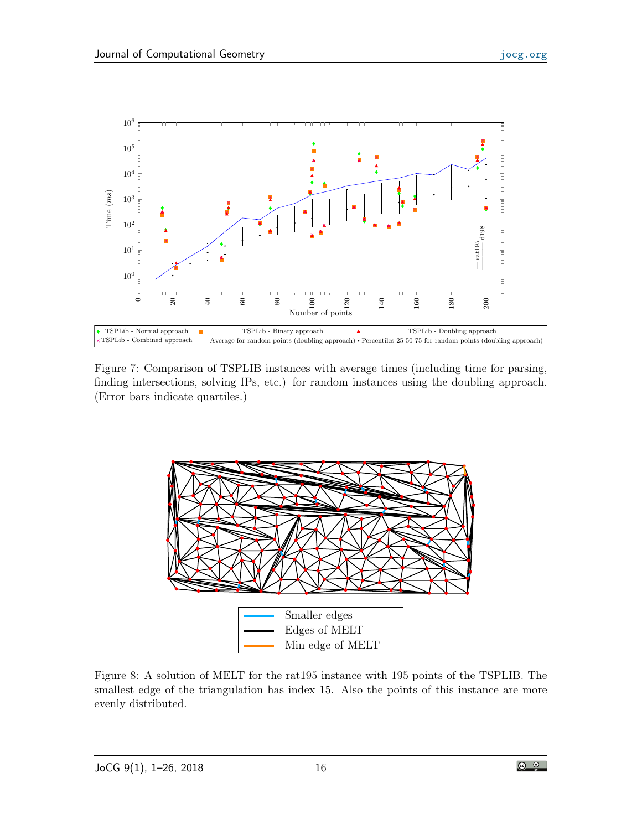

<span id="page-15-1"></span>Figure 7: Comparison of TSPLIB instances with average times (including time for parsing, finding intersections, solving IPs, etc.) for random instances using the doubling approach. (Error bars indicate quartiles.)



<span id="page-15-0"></span>Figure 8: A solution of MELT for the rat195 instance with 195 points of the TSPLIB. The smallest edge of the triangulation has index 15. Also the points of this instance are more evenly distributed.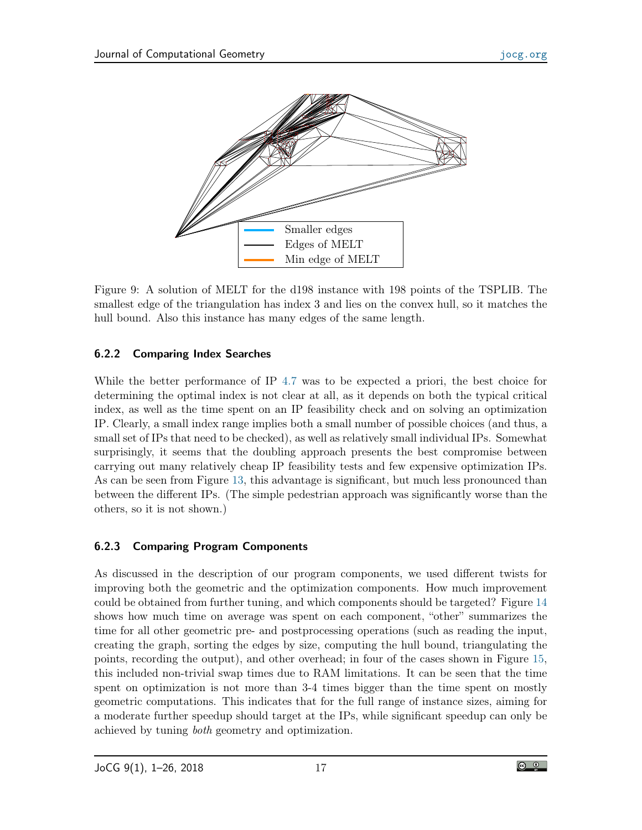

<span id="page-16-0"></span>Figure 9: A solution of MELT for the d198 instance with 198 points of the TSPLIB. The smallest edge of the triangulation has index 3 and lies on the convex hull, so it matches the hull bound. Also this instance has many edges of the same length.

# 6.2.2 Comparing Index Searches

While the better performance of IP [4.7](#page-8-4) was to be expected a priori, the best choice for determining the optimal index is not clear at all, as it depends on both the typical critical index, as well as the time spent on an IP feasibility check and on solving an optimization IP. Clearly, a small index range implies both a small number of possible choices (and thus, a small set of IPs that need to be checked), as well as relatively small individual IPs. Somewhat surprisingly, it seems that the doubling approach presents the best compromise between carrying out many relatively cheap IP feasibility tests and few expensive optimization IPs. As can be seen from Figure [13,](#page-19-0) this advantage is significant, but much less pronounced than between the different IPs. (The simple pedestrian approach was significantly worse than the others, so it is not shown.)

# 6.2.3 Comparing Program Components

As discussed in the description of our program components, we used different twists for improving both the geometric and the optimization components. How much improvement could be obtained from further tuning, and which components should be targeted? Figure [14](#page-19-1) shows how much time on average was spent on each component, "other" summarizes the time for all other geometric pre- and postprocessing operations (such as reading the input, creating the graph, sorting the edges by size, computing the hull bound, triangulating the points, recording the output), and other overhead; in four of the cases shown in Figure [15,](#page-20-1) this included non-trivial swap times due to RAM limitations. It can be seen that the time spent on optimization is not more than 3-4 times bigger than the time spent on mostly geometric computations. This indicates that for the full range of instance sizes, aiming for a moderate further speedup should target at the IPs, while significant speedup can only be achieved by tuning both geometry and optimization.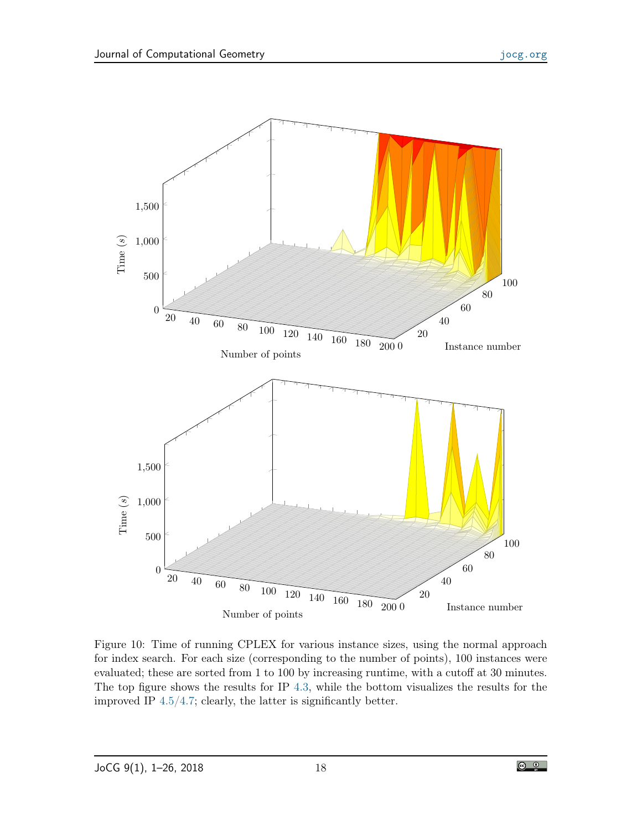

<span id="page-17-0"></span>Figure 10: Time of running CPLEX for various instance sizes, using the normal approach for index search. For each size (corresponding to the number of points), 100 instances were evaluated; these are sorted from 1 to 100 by increasing runtime, with a cutoff at 30 minutes. The top figure shows the results for IP [4.3,](#page-7-0) while the bottom visualizes the results for the improved IP [4.5/](#page-7-3)[4.7;](#page-8-4) clearly, the latter is significantly better.

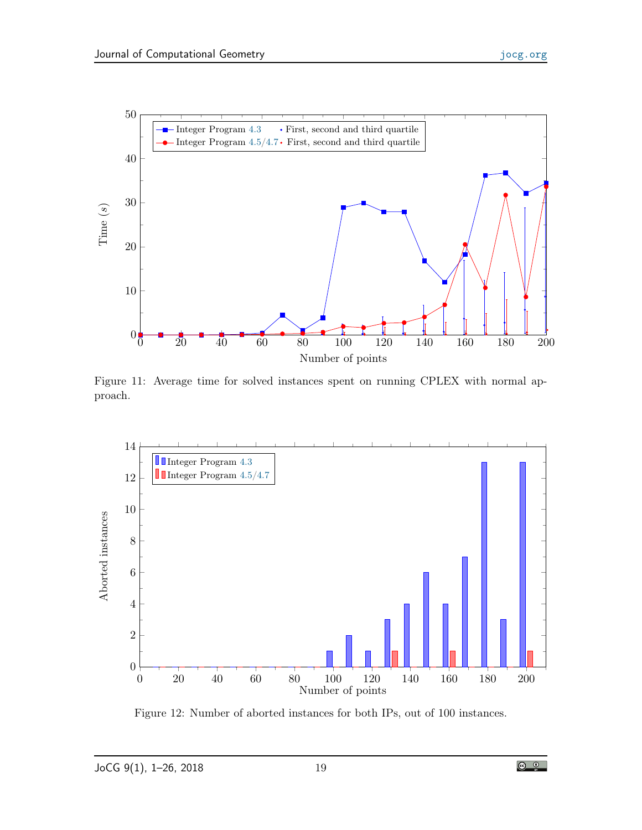

<span id="page-18-0"></span>Figure 11: Average time for solved instances spent on running CPLEX with normal approach.



<span id="page-18-1"></span>Figure 12: Number of aborted instances for both IPs, out of 100 instances.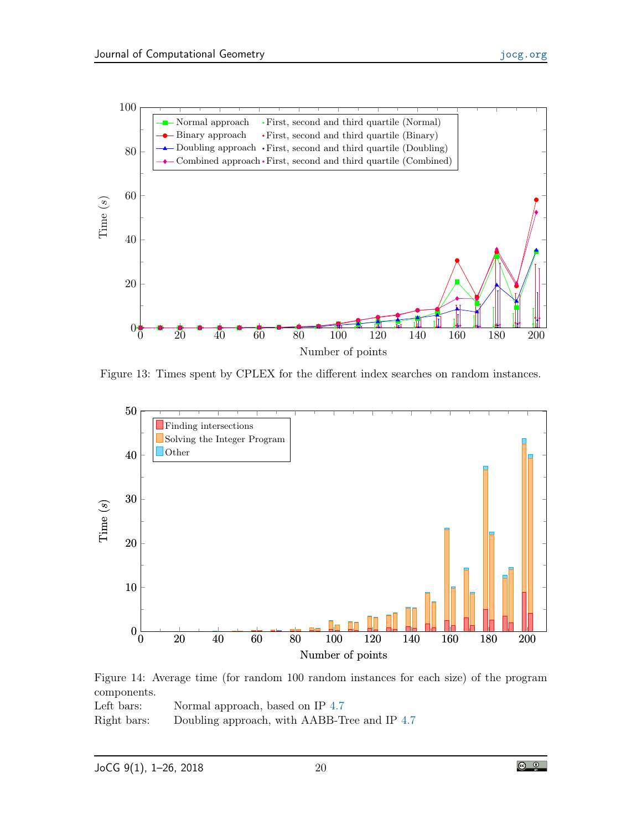

<span id="page-19-0"></span>Figure 13: Times spent by CPLEX for the different index searches on random instances.



<span id="page-19-1"></span>Figure 14: Average time (for random 100 random instances for each size) of the program components.

Left bars: Normal approach, based on IP [4.7](#page-8-4) Right bars: Doubling approach, with AABB-Tree and IP [4.7](#page-8-4)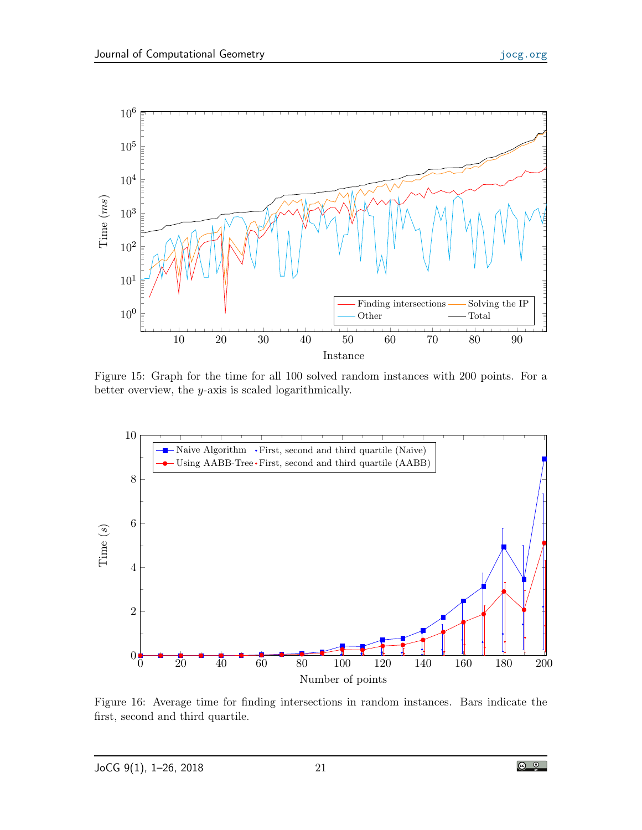

<span id="page-20-1"></span>Figure 15: Graph for the time for all 100 solved random instances with 200 points. For a better overview, the y-axis is scaled logarithmically.



<span id="page-20-0"></span>Figure 16: Average time for finding intersections in random instances. Bars indicate the first, second and third quartile.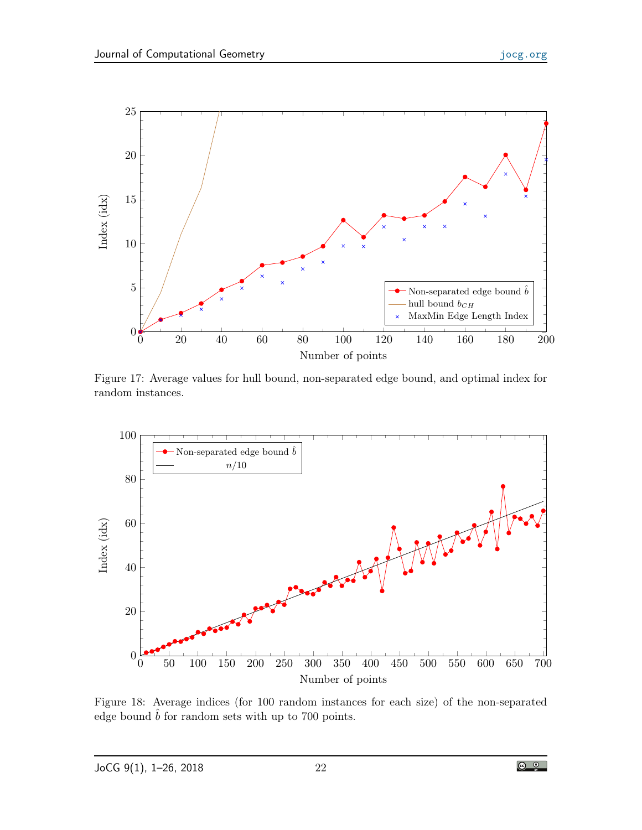

<span id="page-21-0"></span>Figure 17: Average values for hull bound, non-separated edge bound, and optimal index for random instances.



<span id="page-21-1"></span>Figure 18: Average indices (for 100 random instances for each size) of the non-separated edge bound  $\hat{b}$  for random sets with up to 700 points.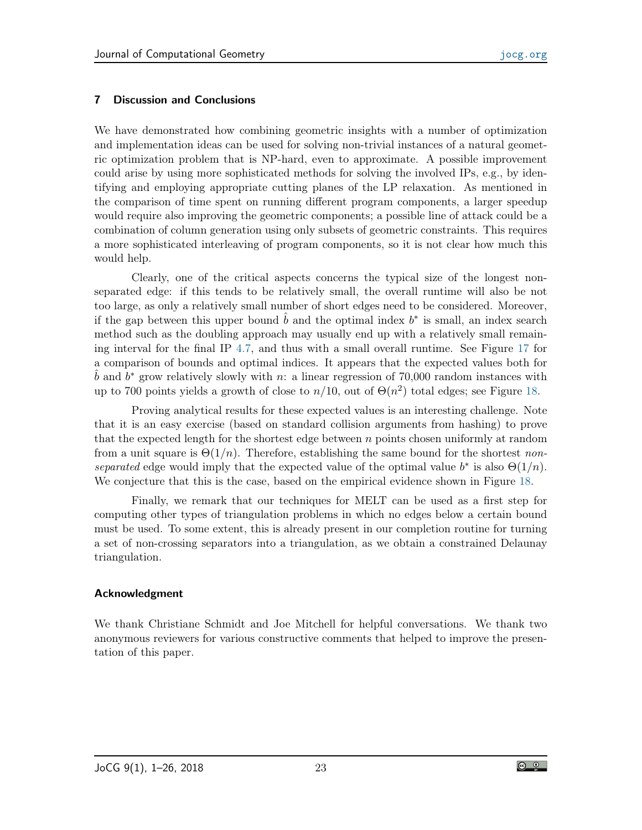### 7 Discussion and Conclusions

We have demonstrated how combining geometric insights with a number of optimization and implementation ideas can be used for solving non-trivial instances of a natural geometric optimization problem that is NP-hard, even to approximate. A possible improvement could arise by using more sophisticated methods for solving the involved IPs, e.g., by identifying and employing appropriate cutting planes of the LP relaxation. As mentioned in the comparison of time spent on running different program components, a larger speedup would require also improving the geometric components; a possible line of attack could be a combination of column generation using only subsets of geometric constraints. This requires a more sophisticated interleaving of program components, so it is not clear how much this would help.

Clearly, one of the critical aspects concerns the typical size of the longest nonseparated edge: if this tends to be relatively small, the overall runtime will also be not too large, as only a relatively small number of short edges need to be considered. Moreover, if the gap between this upper bound  $\hat{b}$  and the optimal index  $b^*$  is small, an index search method such as the doubling approach may usually end up with a relatively small remaining interval for the final IP [4.7,](#page-8-4) and thus with a small overall runtime. See Figure [17](#page-21-0) for a comparison of bounds and optimal indices. It appears that the expected values both for  $\hat{b}$  and  $b^*$  grow relatively slowly with n: a linear regression of 70,000 random instances with up to 700 points yields a growth of close to  $n/10$ , out of  $\Theta(n^2)$  total edges; see Figure [18.](#page-21-1)

Proving analytical results for these expected values is an interesting challenge. Note that it is an easy exercise (based on standard collision arguments from hashing) to prove that the expected length for the shortest edge between  $n$  points chosen uniformly at random from a unit square is  $\Theta(1/n)$ . Therefore, establishing the same bound for the shortest nonseparated edge would imply that the expected value of the optimal value  $b^*$  is also  $\Theta(1/n)$ . We conjecture that this is the case, based on the empirical evidence shown in Figure [18.](#page-21-1)

Finally, we remark that our techniques for MELT can be used as a first step for computing other types of triangulation problems in which no edges below a certain bound must be used. To some extent, this is already present in our completion routine for turning a set of non-crossing separators into a triangulation, as we obtain a constrained Delaunay triangulation.

#### Acknowledgment

We thank Christiane Schmidt and Joe Mitchell for helpful conversations. We thank two anonymous reviewers for various constructive comments that helped to improve the presentation of this paper.

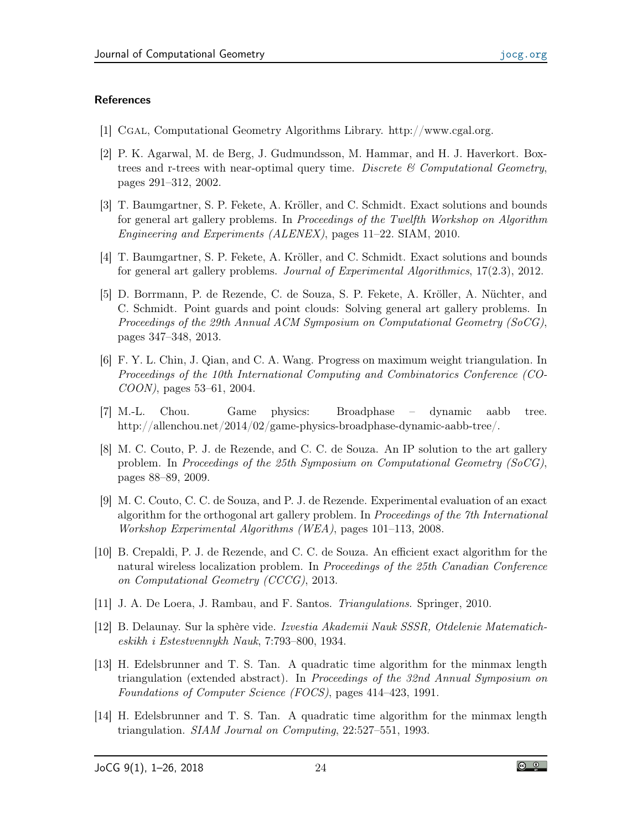### **References**

- <span id="page-23-10"></span>[1] Cgal, Computational Geometry Algorithms Library. http://www.cgal.org.
- <span id="page-23-11"></span>[2] P. K. Agarwal, M. de Berg, J. Gudmundsson, M. Hammar, and H. J. Haverkort. Boxtrees and r-trees with near-optimal query time. Discrete  $\mathcal B$  Computational Geometry, pages 291–312, 2002.
- <span id="page-23-5"></span>[3] T. Baumgartner, S. P. Fekete, A. Kröller, and C. Schmidt. Exact solutions and bounds for general art gallery problems. In Proceedings of the Twelfth Workshop on Algorithm Engineering and Experiments (ALENEX), pages 11–22. SIAM, 2010.
- [4] T. Baumgartner, S. P. Fekete, A. Kröller, and C. Schmidt. Exact solutions and bounds for general art gallery problems. Journal of Experimental Algorithmics, 17(2.3), 2012.
- <span id="page-23-6"></span>[5] D. Borrmann, P. de Rezende, C. de Souza, S. P. Fekete, A. Kröller, A. Nüchter, and C. Schmidt. Point guards and point clouds: Solving general art gallery problems. In Proceedings of the 29th Annual ACM Symposium on Computational Geometry (SoCG), pages 347–348, 2013.
- <span id="page-23-4"></span>[6] F. Y. L. Chin, J. Qian, and C. A. Wang. Progress on maximum weight triangulation. In Proceedings of the 10th International Computing and Combinatorics Conference (CO-COON), pages 53–61, 2004.
- <span id="page-23-12"></span>[7] M.-L. Chou. Game physics: Broadphase – dynamic aabb tree. http://allenchou.net/2014/02/game-physics-broadphase-dynamic-aabb-tree/.
- <span id="page-23-7"></span>[8] M. C. Couto, P. J. de Rezende, and C. C. de Souza. An IP solution to the art gallery problem. In Proceedings of the 25th Symposium on Computational Geometry (SoCG), pages 88–89, 2009.
- <span id="page-23-8"></span>[9] M. C. Couto, C. C. de Souza, and P. J. de Rezende. Experimental evaluation of an exact algorithm for the orthogonal art gallery problem. In Proceedings of the 7th International Workshop Experimental Algorithms (WEA), pages 101–113, 2008.
- <span id="page-23-9"></span>[10] B. Crepaldi, P. J. de Rezende, and C. C. de Souza. An efficient exact algorithm for the natural wireless localization problem. In Proceedings of the 25th Canadian Conference on Computational Geometry (CCCG), 2013.
- <span id="page-23-1"></span>[11] J. A. De Loera, J. Rambau, and F. Santos. Triangulations. Springer, 2010.
- <span id="page-23-2"></span>[12] B. Delaunay. Sur la sphère vide. Izvestia Akademii Nauk SSSR, Otdelenie Matematicheskikh i Estestvennykh Nauk, 7:793–800, 1934.
- <span id="page-23-0"></span>[13] H. Edelsbrunner and T. S. Tan. A quadratic time algorithm for the minmax length triangulation (extended abstract). In Proceedings of the 32nd Annual Symposium on Foundations of Computer Science (FOCS), pages 414–423, 1991.
- <span id="page-23-3"></span>[14] H. Edelsbrunner and T. S. Tan. A quadratic time algorithm for the minmax length triangulation. SIAM Journal on Computing, 22:527–551, 1993.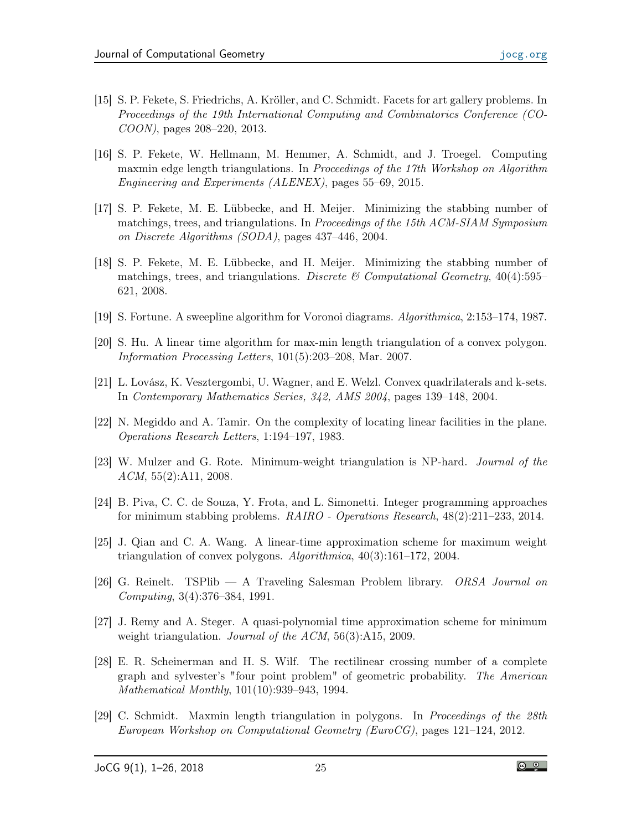- <span id="page-24-7"></span>[15] S. P. Fekete, S. Friedrichs, A. Kröller, and C. Schmidt. Facets for art gallery problems. In Proceedings of the 19th International Computing and Combinatorics Conference (CO-COON), pages 208–220, 2013.
- <span id="page-24-0"></span>[16] S. P. Fekete, W. Hellmann, M. Hemmer, A. Schmidt, and J. Troegel. Computing maxmin edge length triangulations. In Proceedings of the 17th Workshop on Algorithm Engineering and Experiments (ALENEX), pages 55–69, 2015.
- <span id="page-24-9"></span>[17] S. P. Fekete, M. E. Lübbecke, and H. Meijer. Minimizing the stabbing number of matchings, trees, and triangulations. In Proceedings of the 15th ACM-SIAM Symposium on Discrete Algorithms (SODA), pages 437–446, 2004.
- <span id="page-24-10"></span>[18] S. P. Fekete, M. E. Lübbecke, and H. Meijer. Minimizing the stabbing number of matchings, trees, and triangulations. Discrete  $\mathcal C$  Computational Geometry, 40(4):595– 621, 2008.
- <span id="page-24-1"></span>[19] S. Fortune. A sweepline algorithm for Voronoi diagrams. Algorithmica, 2:153–174, 1987.
- <span id="page-24-5"></span>[20] S. Hu. A linear time algorithm for max-min length triangulation of a convex polygon. Information Processing Letters, 101(5):203–208, Mar. 2007.
- <span id="page-24-12"></span>[21] L. Lovász, K. Vesztergombi, U. Wagner, and E. Welzl. Convex quadrilaterals and k-sets. In Contemporary Mathematics Series, 342, AMS 2004, pages 139–148, 2004.
- <span id="page-24-11"></span>[22] N. Megiddo and A. Tamir. On the complexity of locating linear facilities in the plane. Operations Research Letters, 1:194–197, 1983.
- <span id="page-24-2"></span>[23] W. Mulzer and G. Rote. Minimum-weight triangulation is NP-hard. Journal of the ACM, 55(2):A11, 2008.
- <span id="page-24-8"></span>[24] B. Piva, C. C. de Souza, Y. Frota, and L. Simonetti. Integer programming approaches for minimum stabbing problems. RAIRO - Operations Research, 48(2):211–233, 2014.
- <span id="page-24-4"></span>[25] J. Qian and C. A. Wang. A linear-time approximation scheme for maximum weight triangulation of convex polygons.  $Algorithmica$ ,  $40(3):161-172$ , 2004.
- <span id="page-24-14"></span>[26] G. Reinelt. TSPlib — A Traveling Salesman Problem library. ORSA Journal on Computing, 3(4):376–384, 1991.
- <span id="page-24-3"></span>[27] J. Remy and A. Steger. A quasi-polynomial time approximation scheme for minimum weight triangulation. *Journal of the ACM*, 56(3):A15, 2009.
- <span id="page-24-13"></span>[28] E. R. Scheinerman and H. S. Wilf. The rectilinear crossing number of a complete graph and sylvester's "four point problem" of geometric probability. The American Mathematical Monthly, 101(10):939–943, 1994.
- <span id="page-24-6"></span>[29] C. Schmidt. Maxmin length triangulation in polygons. In Proceedings of the 28th European Workshop on Computational Geometry (EuroCG), pages 121–124, 2012.